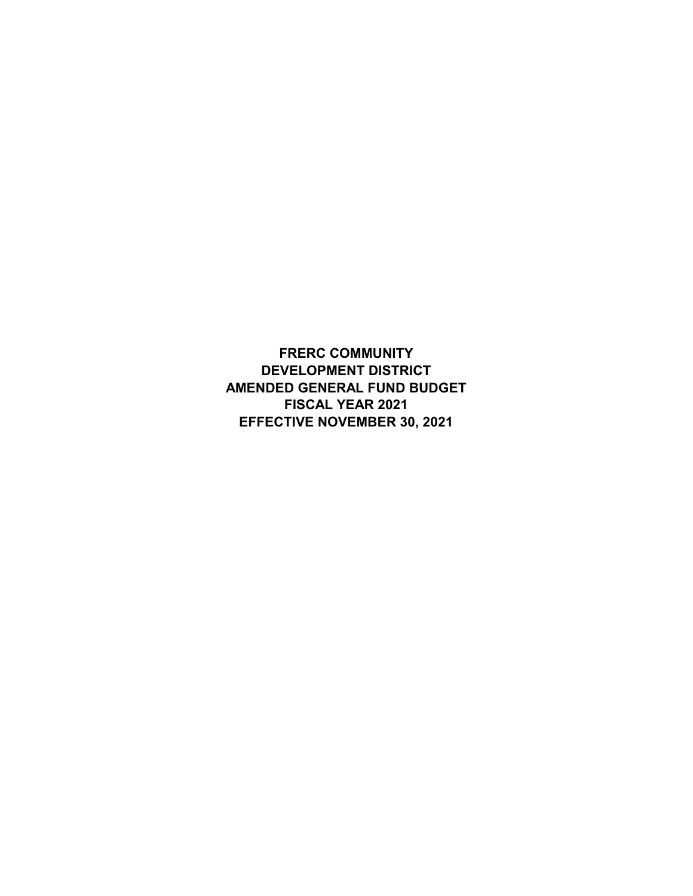**FRERC COMMUNITY DEVELOPMENT DISTRICT AMENDED GENERAL FUND BUDGET FISCAL YEAR 2021 EFFECTIVE NOVEMBER 30, 2021**